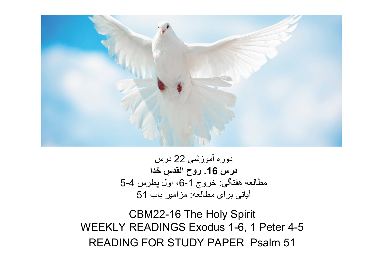

دوره آموزشی 22 درس درس 16. روح القدسِ خدا مطالعۀ هفتگی: خروج 1-6، اول پطرس 4-5 آياتی برای مطالعه: مزامير باب 51

CBM22-16 The Holy Spirit WEEKLY READINGS Exodus 1-6, 1 Peter 4-5 READING FOR STUDY PAPER Psalm 51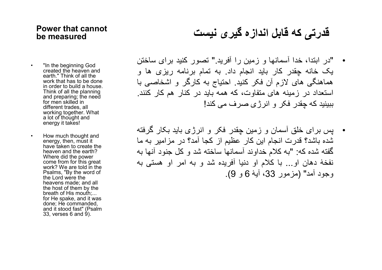#### Power that cannot be measured

### قدرتی که قابل اندازه گيری نيست

- "In the beginning God created the heaven and earth." Think of all the work that has to be done in order to build a house. Think of all the planning and preparing; the need for men skilled in different trades, all working together. What a lot of thought and energy it takes!
- How much thought and energy, then, must it have taken to create the heaven and the earth? Where did the power come from for this great work? We are told in the Psalms, "By the word of the Lord were the heavens made; and all the host of them by the breath of His mouth;... for He spake, and it was done; He commanded, and it stood fast" (Psalm  $33.$  verses 6 and 9).
- "در ابتدا، خدا آسمانها و زمين را آفريد." تصور کنيد برای ساختن يک خانه چقدر کار بايد انجام داد. به تمام برنامه ريزی ها و هماهنگی های لازم آن فکر کنيد. احتياج به کارگر و اشخاصی با استعداد در زمينه های متفاوت، که همه بايد در کنار هم کار کنند. ببينيد که چقدر فکر و انرژی صرف می کند!
- پس برای خلق آسمان و زمين چقدر فکر و انرژی بايد بکار گرفته شده باشد؟ قدرت انجام اين کار عظيم از کجا آمد؟ در مزامير به ما گفته شده که: "به کلام خداوند آسمانها ساخته شد و کل جنود آنها به نفخۀ دهان او... با کلام او دنيا آفريده شد و به امر او هستی به وجود آمد" (مزمور 33، آيۀ 6 و 9).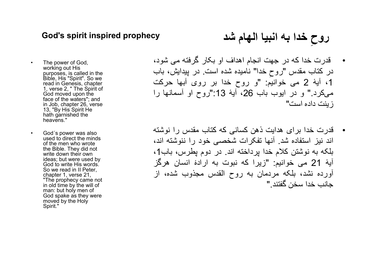#### God's spirit inspired prophecy

روحِ خدا به انبيا الهام شد

- The power of God, working out His purposes, is called in the Bible, His "Spirit". So we read in Genesis, chapter 1, verse 2, " The Spirit of God moved upon the face of the waters"; and in Job, chapter 26, verse 13, "By His Spirit He hath garnished the heavens."
- God´s power was also used to direct the minds of the men who wrote the Bible. They did not write down their own ideas; but were used by God to write His words. So we read in II Peter, chapter 1, verse 21, "The prophecy came not in old time by the will of man: but holy men of God spake as they were moved by the Holy Spirit."
- قدرت خدا که در جهت انجام اهداف او بکار گرفته می شود، در کتاب مقدس "روح خدا" نامیده شده است. در پیدایش، باب ،1 آيۀ 2 می خوانيم: "و روح خدا بر روی آبها حركت می كرد." و در ايوب باب ،26 آيۀ :13"روح او آسمانها را زينت داده است"
- قدرت خدا برای هدايت ذهن کسانی که کتاب مقدس را نوشته اند نيز استفاده شد. آنها تفکرات شخصی خود را ننوشته اند، بلکه به نوشتن کلام خدا پرداخته اند. در دوم پطرس، باب،1 آيۀ 21 می خوانيم: "زيرا که نبوت به ارادۀ انسان هرگز آورده نشد، بلکه مردمان به روح القدس مجذوب شده، از جانب خدا سخن گفتند."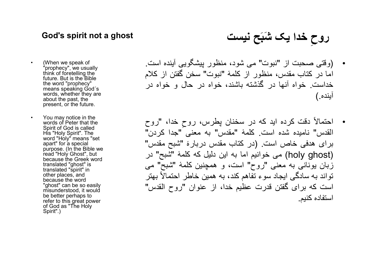## روحِ خدا يک َشبَح نيست ghost a not spirit s'God

- (When we speak of "prophecy", we usually think of foretelling the future. But is the Bible the word "prophecy" means speaking God´s words, whether they are about the past, the present, or the future.
- You may notice in the words of Peter that the Spirit of God is called His "Holy Spirit". The word "Holy" means "set apart" for a special purpose. (In the Bible we read "Holy Ghost", but because the Greek word translated "ghost" is translated "spirit" in other places, and because the word "ghost" can be so easily misunderstood, it would be better perhaps to refer to this great power of God as "The Holy Spirit".)
- (وقتی صحبت از "نبوت" می شود، منظور پيشگويی آينده است. اما در کتاب مقدس، منظور از کلمۀ "نبوت" سخن گفتن از کلام خداست. خواه آنها در گذشته باشند، خواه در حال و خواه در آينده.)
- خدا، ِ روح " احتمالاً دقت کرده ايد که در سخنان پطرس، روح القدس" ناميده شده است. کلمۀ "مقدس" به معنی "جدا کردن" برای هدفی خاص است. (در کتاب مقدس دربارۀ "شبح مقدس" (ghost holy (می خوانيم اما به اين دليل که کلمۀ "شبح" در زبان يونانی به معنی "روح" است، و همچنین کلمۀ "شبح" می تواند به سادگی ايجاد سوء تفاهم کند، به همين خاطر احتمالاً بهتر است که برای گفتن قدرت عظيم خدا، از عنوان "روح القدس" استفاده کنيم.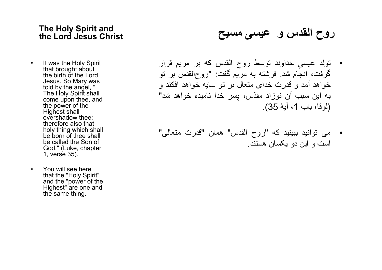#### The Holy Spirit and the Lord Jesus Christ

- It was the Holy Spirit that brought about the birth of the Lord Jesus. So Mary was told by the angel, " The Holy Spirit shall come upon thee, and the power of the Highest shall overshadow thee: therefore also that holy thing which shall be born of thee shall be called the Son of God." (Luke, chapter 1, verse 35).
- You will see here that the "Holy Spirit" and the "power of the Highest" are one and the same thing.

روح القدس و عيسی مسيح

- تولد عيس ِی خداوند توسط روح القدس که بر مريم قرار گرفت، انجام شد. فرشته به مريم گفت: "روح القدس بر تو خواهد آمد و قدرت خدای متعال بر تو سايه خواهد افكند و به اين سبب آن نوزاِد مق ّدس، پسر خدا ناميده خواهد شد" (لوقا، باب 1، آيهٔ 35).
- می توانيد ببينيد که "روح القدس" همان "قدرت متعالی" است و اين دو يکسان هستند.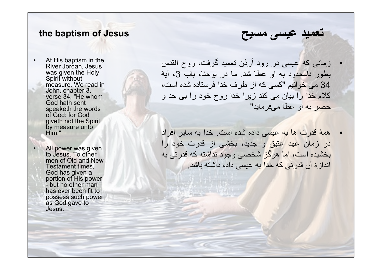### the baptism of Jesus

At His baptism in the River Jordan, Jesus was given the Holy Spirit without measure. We read in John, chapter 3, verse 34, "He whom God hath sent speaketh the words of God: for God giveth not the Spirit by measure unto Him."

All power was given to Jesus. To other men of Old and New Testament times, God has given a portion of His power - but no other man has ever been fit to possess such power as God gave to Jesus.

• زمانی که عيسی در رود اُر ُدن تعميد گرفت، روح القدس بطور نامحدود به او عطا شد. ما در يوحنا، باب ،3 آيۀ 34 می خوانيم "کسی که از طرف خدا فرستاده شده است، كلام خدا را بيان می کند زيرا خدا روح خود را بی حد و حصر به او عطا می فرمايد"

تعميد عيسی مسيح

• همۀ قدرت ها به عيسی داده شده است. خدا به ساير افراد در زمان عهد عتيق و جديد، بخشی از قدرت خود را بخشيده است، اما هرگز شخصی وجود نداشته که قدرتی به اندازۀ آن قدرتی که خدا به عيسی داد، داشته باشد.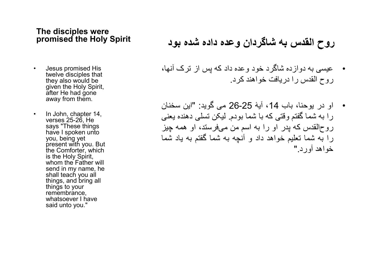#### The disciples were promised the Holy Spirit

- Jesus promised His twelve disciples that they also would be given the Holy Spirit, after He had gone away from them.
- In John, chapter 14, verses 25-26, He says "These things have I spoken unto you, being yet present with you. But the Comforter, which is the Holy Spirit, whom the Father will send in my name, he shall teach you all things, and bring all things to your remembrance, whatsoever I have said unto you."

## روح القدس به شاگردان وعده داده شده بود

- عيسی به دوازده شاگرد خود وعده داد که پس از ترک آنها، روح القدس را دريافت خواهند کرد.
- او در يوحنا، باب ،14 آيۀ 26-25 می گويد: "اين سخنان را به شما گفتم وقتی که با شما بودم. ليکن تسلی دهنده يعنی روح القدس که پدر او را به اسم من می فرستد، او همه چيز را به شما تعليم خواهد داد و آنچه به شما گفتم به ياد شما خواهد آورد."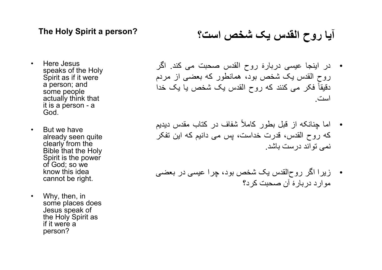#### The Holy Spirit a person?

- Here Jesus speaks of the Holy Spirit as if it were a person; and some people actually think that it is a person - a God.
- But we have already seen quite clearly from the Bible that the Holy Spirit is the power of God; so we know this idea cannot be right.
- Why, then, in some places does Jesus speak of the Holy Spirit as if it were a person?

### آيا روح القدس يک شخص است؟

- در اينجا عيسی دربارۀ روح القدس صحبت می کند. اگر روح القدس يک شخص بود، همانطور که بعضی از مردم دقيقاً فکر می کنند که روح القدس يک شخص يا يک خدا است.
- اما چنانکه از قبل بطور کاملاً شفاف در کتاب مقدس ديديم که روح القدس، قدرت خداست، پس می دانيم که اين تفکر نمی تواند درست باشد.
- زيرا اگر روح القدس يک شخص بود، چرا عيسی در بعضی موارد دربارۀ آن صحبت کرد؟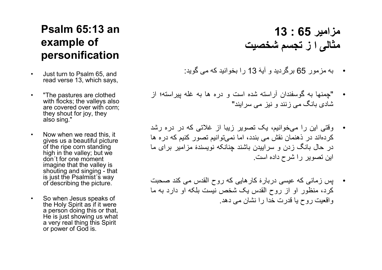### Psalm 65:13 an example of personification

- Just turn to Psalm 65, and read verse 13, which says,
- "The pastures are clothed with flocks; the valleys also are covered over with corn; they shout for joy, they also sing."
- Now when we read this, it gives us a beautiful picture of the ripe corn standing high in the valley; but we don´t for one moment imagine that the valley is shouting and singing - that is just the Psalmist´s way of describing the picture.
- So when Jesus speaks of the Holy Spirit as if it were a person doing this or that, He is just showing us what a very real thing this Spirit or power of God is.

## مزامير 65 : 13 مثالی ا ز تجسم شخصيت

- به مزمور 65 برگرديد و آيۀ 13 را بخوانيد که می گويد:
- "چمنها به گوسفندان آراسته شده است و دره ها به غله پيراسته؛ از شادی بانگ می زنند و نيز می سرايند"
- وقتی اين را می خوانيم، يک تصوير زيبا از غلاتی که در دره رشد کرده اند در ذهنمان نقش می بندد، اما نمی توانيم تصور کنيم که دره ها در حال بانگ زدن و سراييدن باشند چنانکه نويسندۀ مزامير برای ما اين تصوير را شرح داده است.
- پس زمانی که عيسی دربارۀ کارهايی که روح القدس می کند صحبت کرد، منظور او از روح القدس يک شخص نيست بلکه او دارد به ما واقعيت روح يا قدرت خدا را نشان می دهد.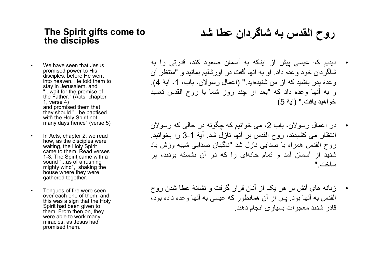#### The Spirit gifts come to the disciples

- We have seen that Jesus promised power to His disciples, before He went into heaven. He told them to stay in Jerusalem, and "...wait for the promise of the Father." (Acts, chapter 1, verse 4) and promised them that they should "...be baptised with the Holy Spirit not many days hence" (verse 5)
- In Acts, chapter 2, we read how, as the disciples were waiting, the Holy Spirit came to them. Read verses 1-3. The Spirit came with a sound "...as of a rushing mighty wind", shaking the house where they were gathered together.
- Tongues of fire were seen over each one of them; and this was a sign that the Holy Spirit had been given to them. From then on, they were able to work many miracles, as Jesus had promised them.

# روح القدس به شاگردان عطا شد

- ديديم که عيسی پيش از اينکه به آسمان صعود کند، قدرتی را به شاگردان خود وعده داد. او به آنها گفت در اورشليم بمانيد و "منتظر آن وعدۀ پدر باشيد که از من شنيده ايد." (اعمال رسولان، باب، ،1 آيۀ 4). و به آنها وعده داد که "بعد از چند روز شما با روح القدس تعميد خواهيد يافت." (آيۀ 5)
- در اعمال رسولان، باب 2، می خوانیم که چگونه در حالی که رسولان انتظار می کشيدند، روح القدس بر آنها نازل شد. آيۀ 3-1 را بخوانيد. روح القدس همراه با صدايی نازل شد "ناگهان صدايی شبيه وزش باد شديد از آسمان آمد و تمام خانهای را كه در آن نشسته بودند، پر ساخت."
- زبانه های آتش بر هر يک از آنان قرار گرفت و نشانۀ عطا شدن روح القدس به آنها بود. پس از آن همانطور که عيسی به آنها وعده داده بود، قادر شدند معجزات بسياری انجام دهند.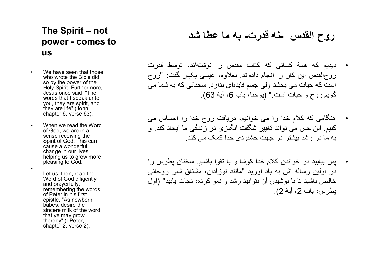### The Spirit – not power - comes to us

- We have seen that those who wrote the Bible did so by the power of the Holy Spirit. Furthermore, Jesus once said, "The words that I speak unto you, they are spirit, and they are life" (John, chapter 6, verse 63).
- When we read the Word of God, we are in a sense receiving the Spirit of God. This can cause a wonderful change in our lives, helping us to grow more pleasing to God.

•

Let us, then, read the Word of God diligently and prayerfully, remembering the words of Peter in his first epistle, "As newborn babes, desire the sincere milk of the word, that ye may grow thereby" (I Peter, chapter 2, verse 2).

### روح القدس -نه قدرت- به ما عطا شد

- ديديم که همۀ کسانی که کتاب مقدس را نوشته اند، توسط قدرت روح القدس اين کار را انجام داده اند. بعلاوه، عيسی يکبار گفت: "روح است كه حيات می بخشد ولی جسم فايدهای ندارد. سخنانی كه به شما می گويم روح و حيات است." (يوحنا، باب 6، آيۀ 63).
- هنگامی که کلام خدا را می خوانيم، دريافت روح خدا را احساس می کنيم. اين حس می تواند تغيير شگفت انگيزی در زندگی ما ايجاد کند. و به ما در رشد بيشتر در جهت خشنودی خدا کمک می کند.
- پس بياييد در خواندن کلام خدا کوشا و با تقوا باشيم. سخنان پطرس را در اولين رساله اش به ياد آوريد "مانند نوزادان، مشتاق شير روحانی خالص باشيد تا با نوشيدن آن بتوانيد رشد و نمو كرده، نجات يابيد" (اول پطر س، باب 2، آيۀ 2).